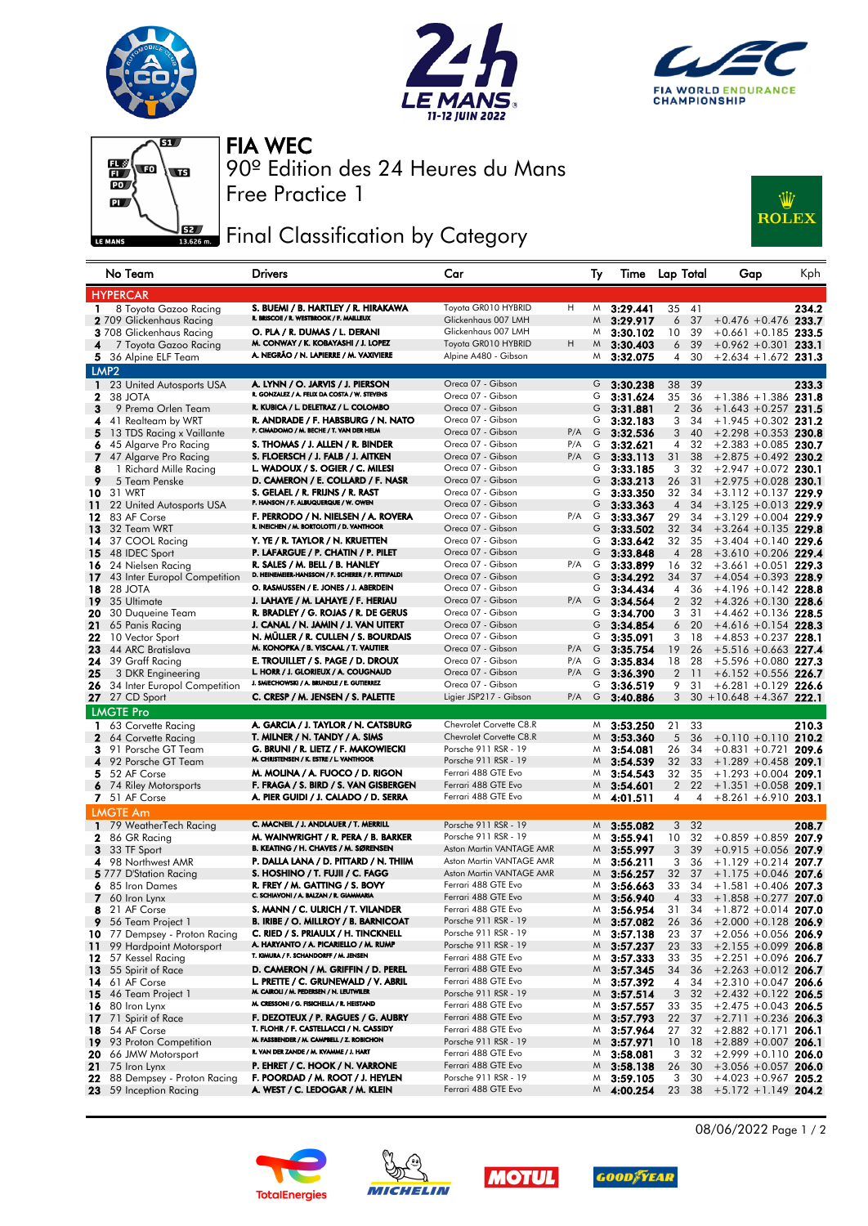







Free Practice 1 90º Edition des 24 Heures du Mans FIA WEC

## Final Classification by Category



|              | No Team                                        | <b>Drivers</b>                                                              | Car                                                  |         | Тy      | Time                     | Lap Total            |                 | Gap                                              | Kph   |
|--------------|------------------------------------------------|-----------------------------------------------------------------------------|------------------------------------------------------|---------|---------|--------------------------|----------------------|-----------------|--------------------------------------------------|-------|
|              | <b>HYPERCAR</b>                                |                                                                             |                                                      |         |         |                          |                      |                 |                                                  |       |
| 1.           | 8 Toyota Gazoo Racing                          | S. BUEMI / B. HARTLEY / R. HIRAKAWA                                         | Toyota GR010 HYBRID                                  | H       | M       | 3:29.441                 | 35                   | 41              |                                                  | 234.2 |
|              | 2 709 Glickenhaus Racing                       | R. BRISCOE / R. WESTBROOK / F. MAILLEUX                                     | Glickenhaus 007 LMH                                  |         | M       | 3:29.917                 | 6                    | 37              | $+0.476 + 0.476$ 233.7                           |       |
|              | 3 708 Glickenhaus Racing                       | O. PLA / R. DUMAS / L. DERANI                                               | Glickenhaus 007 LMH                                  |         | M       | 3:30.102                 | 10                   | 39              | $+0.661 + 0.185$ 233.5                           |       |
| 4            | 7 Toyota Gazoo Racing                          | M. CONWAY / K. KOBAYASHI / J. LOPEZ                                         | Toyota GR010 HYBRID                                  | н       | M       | 3:30.403                 | 6                    | 39              | $+0.962 +0.301$ 233.1                            |       |
|              | 5 36 Alpine ELF Team                           | A. NEGRÃO / N. LAPIERRE / M. VAXIVIERE                                      | Alpine A480 - Gibson                                 |         |         | $M$ 3:32.075             |                      | 4 30            | $+2.634 + 1.672$ 231.3                           |       |
|              | LMP <sub>2</sub>                               |                                                                             |                                                      |         |         |                          |                      |                 |                                                  |       |
| $\mathbf{1}$ | 23 United Autosports USA                       | A. LYNN / O. JARVIS / J. PIERSON                                            | Oreca 07 - Gibson                                    |         |         | G $3:30.238$             |                      | 38 39           |                                                  | 233.3 |
| 2            | 38 JOTA                                        | R. GONZALEZ / A. FELIX DA COSTA / W. STEVENS                                | Oreca 07 - Gibson                                    |         | G       | 3:31.624                 | 35                   | 36              | $+1.386 + 1.386$ 231.8                           |       |
| 3            | 9 Prema Orlen Team                             | R. KUBICA / L. DELETRAZ / L. COLOMBO                                        | Oreca 07 - Gibson                                    |         | G       | 3:31.881                 | $\overline{2}$       | 36              | $+1.643 + 0.257$ 231.5                           |       |
| 4            | 41 Realteam by WRT                             | R. ANDRADE / F. HABSBURG / N. NATO                                          | Oreca 07 - Gibson                                    |         | G       | 3:32.183                 | 3                    | 34              | $+1.945 +0.302$ 231.2                            |       |
| 5.           | 13 TDS Racing x Vaillante                      | P. CIMADOMO / M. BECHE / T. VAN DER HELM                                    | Oreca 07 - Gibson                                    | P/A     | G       | 3:32.536                 | 3                    | 40              | $+2.298 +0.353$ 230.8                            |       |
| 6.           | 45 Algarve Pro Racing                          | S. THOMAS / J. ALLEN / R. BINDER                                            | Oreca 07 - Gibson                                    | P/A     | G       | 3:32.621                 | 4                    | 32              | $+2.383 + 0.085$ 230.7                           |       |
| 7            | 47 Algarve Pro Racing                          | S. FLOERSCH / J. FALB / J. AITKEN                                           | Oreca 07 - Gibson                                    |         |         | P/A G 3:33.113           | 31                   | 38              | $+2.875 +0.492$ 230.2                            |       |
| 8            | 1 Richard Mille Racing                         | L. WADOUX / S. OGIER / C. MILESI                                            | Oreca 07 - Gibson                                    |         | G       | 3:33.185                 | 3                    | 32              | $+2.947 +0.072$ 230.1                            |       |
| 9            | 5 Team Penske                                  | D. CAMERON / E. COLLARD / F. NASR                                           | Oreca 07 - Gibson                                    |         | G       | 3:33.213                 | 26                   | 31              | $+2.975 +0.028$ 230.1                            |       |
|              | <b>10</b> 31 WRT                               | S. GELAEL / R. FRIJNS / R. RAST<br>P. HANSON / F. ALBUQUERQUE / W. OWEN     | Oreca 07 - Gibson<br>Oreca 07 - Gibson               |         | G       | 3:33.350                 | 32                   | 34              | $+3.112 +0.137$ 229.9                            |       |
| 11           | 22 United Autosports USA                       | F. PERRODO / N. NIELSEN / A. ROVERA                                         | Oreca 07 - Gibson                                    | P/A     | G       | G $3:33.363$             | $\overline{4}$       | 34              | $+3.125 + 0.013$ 229.9                           |       |
| 12           | 83 AF Corse<br>32 Team WRT                     | R. INEICHEN / M. BORTOLOTTI / D. VANTHOOR                                   | Oreca 07 - Gibson                                    |         | G       | 3:33.367                 | 29<br>32             | 34<br>34        | $+3.129 + 0.004$ 229.9<br>$+3.264 + 0.135$ 229.8 |       |
| 13           | 37 COOL Racing                                 | Y. YE / R. TAYLOR / N. KRUETTEN                                             | Oreca 07 - Gibson                                    |         | G       | 3:33.502<br>3:33.642     | 32                   | 35              | $+3.404 + 0.140$ 229.6                           |       |
| 14.<br>15    |                                                | P. LAFARGUE / P. CHATIN / P. PILET                                          | Oreca 07 - Gibson                                    |         | G       | 3:33.848                 | 4                    | 28              | $+3.610 + 0.206$ 229.4                           |       |
|              | 48 IDEC Sport<br>16 24 Nielsen Racing          | R. SALES / M. BELL / B. HANLEY                                              | Oreca 07 - Gibson                                    | $P/A$ G |         | 3:33.899                 | 16                   | 32              | $+3.661 + 0.051$ 229.3                           |       |
| 17           | 43 Inter Europol Competition                   | D. HEINEMEIER-HANSSON / F. SCHERER / P. FITTIPALDI                          | Oreca 07 - Gibson                                    |         | G       | 3:34.292                 | 34                   | 37              | $+4.054 + 0.393$ 228.9                           |       |
|              | <b>18</b> 28 JOTA                              | O. RASMUSSEN / E. JONES / J. ABERDEIN                                       | Oreca 07 - Gibson                                    |         | G       | 3:34.434                 | 4                    | 36              | $+4.196 +0.142$ 228.8                            |       |
|              | 19 35 Ultimate                                 | J. LAHAYE / M. LAHAYE / F. HERIAU                                           | Oreca 07 - Gibson                                    |         | $P/A$ G | 3:34.564                 | $\overline{2}$       | 32              | $+4.326 +0.130$ 228.6                            |       |
| 20           | 30 Duqueine Team                               | R. BRADLEY / G. ROJAS / R. DE GERUS                                         | Oreca 07 - Gibson                                    |         | G       | 3:34.700                 | 3                    | 31              | $+4.462 +0.136$ 228.5                            |       |
| 21           | 65 Panis Racing                                | J. CANAL / N. JAMIN / J. VAN UITERT                                         | Oreca 07 - Gibson                                    |         | G       | 3:34.854                 | 6                    | 20              | $+4.616 + 0.154$ 228.3                           |       |
|              | 22 10 Vector Sport                             | N. MÜLLER / R. CULLEN / S. BOURDAIS                                         | Oreca 07 - Gibson                                    |         | G       | 3:35.091                 |                      | 3 18            | $+4.853 + 0.237$ 228.1                           |       |
| 23           | 44 ARC Bratislava                              | M. KONOPKA / B. VISCAAL / T. VAUTIER                                        | Oreca 07 - Gibson                                    | $P/A$ G |         | 3:35.754                 | 19                   | 26              | $+5.516 + 0.663$ 227.4                           |       |
| 24           | 39 Graff Racing                                | E. TROUILLET / S. PAGE / D. DROUX                                           | Oreca 07 - Gibson                                    | P/A     | G       | 3:35.834                 | 18                   | -28             | $+5.596 + 0.080$ 227.3                           |       |
| 25           | 3 DKR Engineering                              | L. HORR / J. GLORIEUX / A. COUGNAUD                                         | Oreca 07 - Gibson                                    | P/A     | G       | 3:36.390                 | $\overline{2}$       | $\overline{11}$ | $+6.152 + 0.556$ 226.7                           |       |
| 26           | 34 Inter Europol Competition                   | J. SMIECHOWSKI / A. BRUNDLE / E. GUTIERREZ                                  | Oreca 07 - Gibson                                    |         | G       | 3:36.519                 | 9                    | 31              | $+6.281 + 0.129$ 226.6                           |       |
|              | <b>27</b> 27 CD Sport                          | C. CRESP / M. JENSEN / S. PALETTE                                           | Ligier JSP217 - Gibson                               | P/A     | G       | 3:40.886                 | 3                    |                 | $30 + 10.648 + 4.367$ 222.1                      |       |
|              |                                                |                                                                             |                                                      |         |         |                          |                      |                 |                                                  |       |
|              | <b>LMGTE Pro</b>                               |                                                                             | Chevrolet Corvette C8.R                              |         |         |                          |                      |                 |                                                  |       |
|              | 1 63 Corvette Racing                           | A. GARCIA / J. TAYLOR / N. CATSBURG                                         |                                                      |         | M       | 3:53.250                 | 21                   | 33              |                                                  | 210.3 |
| $\mathbf{2}$ | 64 Corvette Racing                             | T. MILNER / N. TANDY / A. SIMS<br>G. BRUNI / R. LIETZ / F. MAKOWIECKI       | Chevrolet Corvette C8.R<br>Porsche 911 RSR - 19      |         | M<br>M  | 3:53.360                 | 5                    | 36<br>34        | $+0.110 + 0.110$ 210.2                           |       |
| 3.<br>4      | 91 Porsche GT Team<br>92 Porsche GT Team       | M. CHRISTENSEN / K. ESTRE / L. VANTHOOR                                     | Porsche 911 RSR - 19                                 |         | M       | 3:54.081<br>3:54.539     | 26<br>32             | 33              | $+0.831 +0.721$ 209.6<br>$+1.289 + 0.458$ 209.1  |       |
|              | 52 AF Corse                                    | M. MOLINA / A. FUOCO / D. RIGON                                             | Ferrari 488 GTE Evo                                  |         | M       |                          | 32                   | 35              | $+1.293 +0.004$ 209.1                            |       |
| 5.           | 6 74 Riley Motorsports                         | F. FRAGA / S. BIRD / S. VAN GISBERGEN                                       | Ferrari 488 GTE Evo                                  |         | M       | 3:54.543<br>3:54.601     | $\overline{2}$       | 22              | $+1.351 + 0.058$ 209.1                           |       |
|              | 7 51 AF Corse                                  | A. PIER GUIDI / J. CALADO / D. SERRA                                        | Ferrari 488 GTE Evo                                  |         | M       | 4:01.511                 | 4                    | 4               | $+8.261 + 6.910$ 203.1                           |       |
|              |                                                |                                                                             |                                                      |         |         |                          |                      |                 |                                                  |       |
|              | <b>LMGTE Am</b>                                | C. MACNEIL / J. ANDLAUER / T. MERRILL                                       |                                                      |         |         |                          |                      |                 |                                                  |       |
|              | 1 79 WeatherTech Racing                        |                                                                             | Porsche 911 RSR - 19                                 |         |         | $M$ 3:55.082             |                      | 3 <sup>32</sup> |                                                  | 208.7 |
|              | 2 86 GR Racing                                 | M. WAINWRIGHT / R. PERA / B. BARKER<br>B. KEATING / H. CHAVES / M. SØRENSEN | Porsche 911 RSR - 19                                 |         | M       | 3:55.941                 | 10                   | 32              | $+0.859 + 0.859$ 207.9                           |       |
|              | <b>3</b> 33 TF Sport                           |                                                                             | Aston Martin VANTAGE AMR                             |         | M       | 3:55.997                 | 3                    | 39              | $+0.915 + 0.056$ 207.9                           |       |
|              | 4 98 Northwest AMR                             | P. DALLA LANA / D. PITTARD / N. THIIM                                       | Aston Martin VANTAGE AMR<br>Aston Martin VANTAGE AMR |         | M       | 3:56.211                 | 3                    | 36              | $+1.129 +0.214$ 207.7                            |       |
|              | 5 777 D'Station Racing                         | S. HOSHINO / T. FUJII / C. FAGG                                             | Ferrari 488 GTE Evo                                  |         | M       | 3:56.257                 | 32                   | - 37            | $+1.175 + 0.046$ 207.6                           |       |
|              | 6 85 Iron Dames                                | R. FREY / M. GATTING / S. BOVY<br>C. SCHIAVUNI / A. BALLAN / K. GIAWWAKIA   |                                                      |         | M       | 3:56.663                 | 33                   | 34              | $+1.581 + 0.406$ 207.3                           |       |
|              | 7 60 Iron Lynx                                 | S. MANN / C. ULRICH / T. VILANDER                                           | Ferrari 488 GIE Evo<br>Ferrari 488 GTE Evo           |         | M,      | 3:56.940                 | 4                    | 33              | $+1.858 + 0.277$ 207.0                           |       |
| 8            | 21 AF Corse                                    | <b>B. IRIBE / O. MILLROY / B. BARNICOAT</b>                                 | Porsche 911 RSR - 19                                 |         | M       | $M$ 3:56.954             | 31                   | 34              | $+1.872 +0.014$ 207.0                            |       |
| 9            | 56 Team Project 1                              | C. RIED / S. PRIAULX / H. TINCKNELL                                         | Porsche 911 RSR - 19                                 |         |         | 3:57.082<br>3:57.138     | 26                   | 36              | $+2.000 +0.128$ 206.9                            |       |
|              | <b>10</b> 77 Dempsey - Proton Racing           | A. HARYANTO / A. PICARIELLO / M. RUMP                                       | Porsche 911 RSR - 19                                 |         | M       |                          | 23                   | 37              | $+2.056 + 0.056$ 206.9                           |       |
| 11.          | 99 Hardpoint Motorsport                        | T. KIMURA / F. SCHANDORFF / M. JENSEN                                       | Ferrari 488 GTE Evo                                  |         | M       | 3:57.237                 | 23                   | 33<br>35        | $+2.155 + 0.099$ 206.8<br>$+2.251 + 0.096$ 206.7 |       |
|              | <b>12</b> 57 Kessel Racing                     | D. CAMERON / M. GRIFFIN / D. PEREL                                          | Ferrari 488 GTE Evo                                  |         | M       | 3:57.333                 | 33                   |                 |                                                  |       |
| 13           | 55 Spirit of Race<br>14 61 AF Corse            | L. PRETTE / C. GRUNEWALD / V. ABRIL                                         | Ferrari 488 GTE Evo                                  |         | M       | $M$ 3:57.345<br>3:57.392 | 34<br>4              | - 36<br>34      | $+2.263 +0.012$ 206.7<br>$+2.310 + 0.047$ 206.6  |       |
|              | 15 46 Team Project 1                           | M. CAIROLI / M. PEDERSEN / N. LEUTWILER                                     | Porsche 911 RSR - 19                                 |         | M       |                          | 3                    | 32              | $+2.432 +0.122$ 206.5                            |       |
|              |                                                | M. CRESSONI / G. FISICHELLA / R. HEISTAND                                   | Ferrari 488 GTE Evo                                  |         | M       | 3:57.514<br>3:57.557     |                      | 35              | $+2.475 + 0.043$ 206.5                           |       |
|              | 16 80 Iron Lynx<br>17 71 Spirit of Race        | F. DEZOTEUX / P. RAGUES / G. AUBRY                                          | Ferrari 488 GTE Evo                                  |         | M       | 3:57.793                 | 33<br>22             | 37              |                                                  |       |
|              | <b>18</b> 54 AF Corse                          | T. FLOHR / F. CASTELLACCI / N. CASSIDY                                      | Ferrari 488 GTE Evo                                  |         | M       | 3:57.964                 |                      | 27 32           | $+2.711 + 0.236$ 206.3<br>$+2.882 +0.171$ 206.1  |       |
|              |                                                | M. FASSBENDER / M. CAMPBELL / Z. ROBICHON                                   | Porsche 911 RSR - 19                                 |         | M       | 3:57.971                 |                      | - 18            |                                                  |       |
|              | <b>19</b> 93 Proton Competition                | R. VAN DER ZANDE / M. KVAMME / J. HART                                      | Ferrari 488 GTE Evo                                  |         | M       | 3:58.081                 | 10 <sup>°</sup><br>3 | 32              | $+2.889 + 0.007$ 206.1<br>$+2.999 +0.110$ 206.0  |       |
|              | <b>20</b> 66 JMW Motorsport<br>21 75 Iron Lynx | P. EHRET / C. HOOK / N. VARRONE                                             | Ferrari 488 GTE Evo                                  |         |         | $M$ 3:58.138             | 26                   | 30              | $+3.056 + 0.057$ 206.0                           |       |
|              | 22 88 Dempsey - Proton Racing                  | F. POORDAD / M. ROOT / J. HEYLEN                                            | Porsche 911 RSR - 19                                 |         | M       | 3:59.105                 | 3                    | 30              | $+4.023 +0.967$ 205.2                            |       |
|              | 23 59 Inception Racing                         | A. WEST / C. LEDOGAR / M. KLEIN                                             | Ferrari 488 GTE Evo                                  |         |         | $M$ 4:00.254             |                      | 23 38           | $+5.172 + 1.149$ 204.2                           |       |
|              |                                                |                                                                             |                                                      |         |         |                          |                      |                 |                                                  |       |









08/06/2022 Page 1 / 2